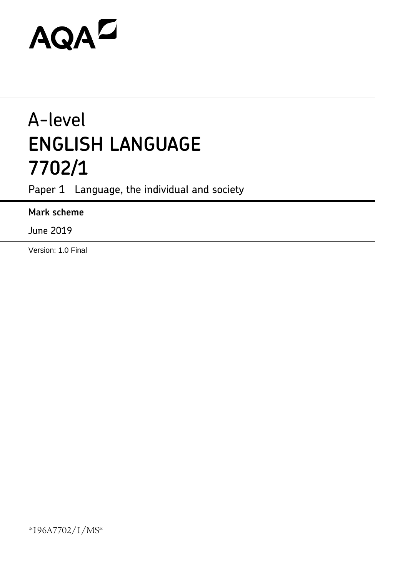# AQAZ

## A-level **ENGLISH LANGUAGE 7702/1**

Paper 1 Language, the individual and society

### **Mark scheme**

June 2019

Version: 1.0 Final

\*196A7702/1/MS\*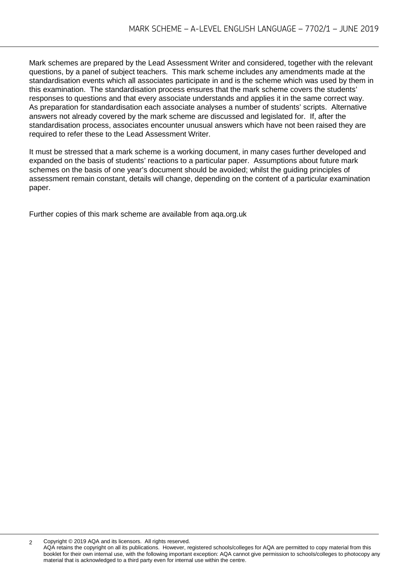Mark schemes are prepared by the Lead Assessment Writer and considered, together with the relevant questions, by a panel of subject teachers. This mark scheme includes any amendments made at the standardisation events which all associates participate in and is the scheme which was used by them in this examination. The standardisation process ensures that the mark scheme covers the students' responses to questions and that every associate understands and applies it in the same correct way. As preparation for standardisation each associate analyses a number of students' scripts. Alternative answers not already covered by the mark scheme are discussed and legislated for. If, after the standardisation process, associates encounter unusual answers which have not been raised they are required to refer these to the Lead Assessment Writer.

It must be stressed that a mark scheme is a working document, in many cases further developed and expanded on the basis of students' reactions to a particular paper. Assumptions about future mark schemes on the basis of one year's document should be avoided; whilst the guiding principles of assessment remain constant, details will change, depending on the content of a particular examination paper.

Further copies of this mark scheme are available from aqa.org.uk

2 Copyright © 2019 AQA and its licensors. All rights reserved.

AQA retains the copyright on all its publications. However, registered schools/colleges for AQA are permitted to copy material from this booklet for their own internal use, with the following important exception: AQA cannot give permission to schools/colleges to photocopy any material that is acknowledged to a third party even for internal use within the centre.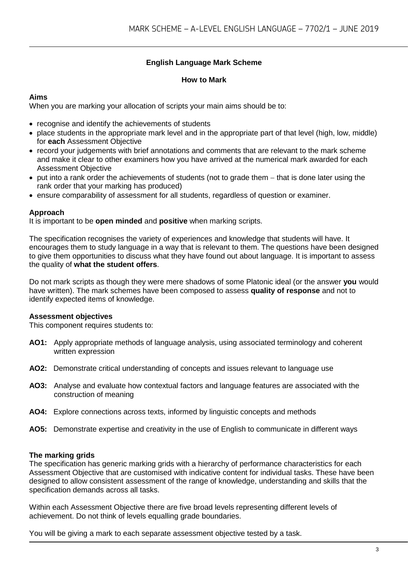#### **English Language Mark Scheme**

#### **How to Mark**

#### **Aims**

When you are marking your allocation of scripts your main aims should be to:

- recognise and identify the achievements of students
- place students in the appropriate mark level and in the appropriate part of that level (high, low, middle) for **each** Assessment Objective
- record your judgements with brief annotations and comments that are relevant to the mark scheme and make it clear to other examiners how you have arrived at the numerical mark awarded for each Assessment Objective
- put into a rank order the achievements of students (not to grade them − that is done later using the rank order that your marking has produced)
- ensure comparability of assessment for all students, regardless of question or examiner.

#### **Approach**

It is important to be **open minded** and **positive** when marking scripts.

The specification recognises the variety of experiences and knowledge that students will have. It encourages them to study language in a way that is relevant to them. The questions have been designed to give them opportunities to discuss what they have found out about language. It is important to assess the quality of **what the student offers**.

Do not mark scripts as though they were mere shadows of some Platonic ideal (or the answer **you** would have written). The mark schemes have been composed to assess **quality of response** and not to identify expected items of knowledge.

#### **Assessment objectives**

This component requires students to:

- **AO1:** Apply appropriate methods of language analysis, using associated terminology and coherent written expression
- **AO2:** Demonstrate critical understanding of concepts and issues relevant to language use
- **AO3:** Analyse and evaluate how contextual factors and language features are associated with the construction of meaning
- **AO4:** Explore connections across texts, informed by linguistic concepts and methods
- **AO5:** Demonstrate expertise and creativity in the use of English to communicate in different ways

#### **The marking grids**

The specification has generic marking grids with a hierarchy of performance characteristics for each Assessment Objective that are customised with indicative content for individual tasks. These have been designed to allow consistent assessment of the range of knowledge, understanding and skills that the specification demands across all tasks.

Within each Assessment Objective there are five broad levels representing different levels of achievement. Do not think of levels equalling grade boundaries.

You will be giving a mark to each separate assessment objective tested by a task.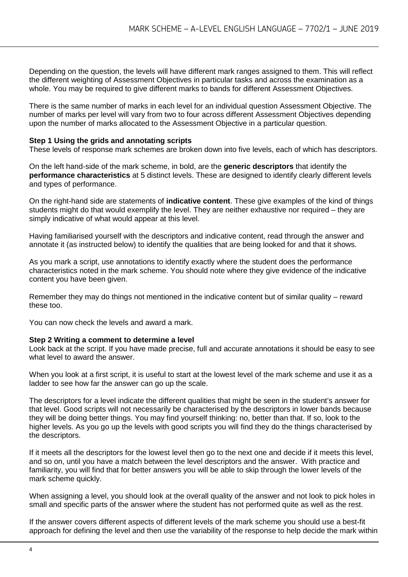Depending on the question, the levels will have different mark ranges assigned to them. This will reflect the different weighting of Assessment Objectives in particular tasks and across the examination as a whole. You may be required to give different marks to bands for different Assessment Objectives.

There is the same number of marks in each level for an individual question Assessment Objective. The number of marks per level will vary from two to four across different Assessment Objectives depending upon the number of marks allocated to the Assessment Objective in a particular question.

#### **Step 1 Using the grids and annotating scripts**

These levels of response mark schemes are broken down into five levels, each of which has descriptors.

On the left hand-side of the mark scheme, in bold, are the **generic descriptors** that identify the **performance characteristics** at 5 distinct levels. These are designed to identify clearly different levels and types of performance.

On the right-hand side are statements of **indicative content**. These give examples of the kind of things students might do that would exemplify the level. They are neither exhaustive nor required – they are simply indicative of what would appear at this level.

Having familiarised yourself with the descriptors and indicative content, read through the answer and annotate it (as instructed below) to identify the qualities that are being looked for and that it shows.

As you mark a script, use annotations to identify exactly where the student does the performance characteristics noted in the mark scheme. You should note where they give evidence of the indicative content you have been given.

Remember they may do things not mentioned in the indicative content but of similar quality – reward these too.

You can now check the levels and award a mark.

#### **Step 2 Writing a comment to determine a level**

Look back at the script. If you have made precise, full and accurate annotations it should be easy to see what level to award the answer.

When you look at a first script, it is useful to start at the lowest level of the mark scheme and use it as a ladder to see how far the answer can go up the scale.

The descriptors for a level indicate the different qualities that might be seen in the student's answer for that level. Good scripts will not necessarily be characterised by the descriptors in lower bands because they will be doing better things. You may find yourself thinking: no, better than that. If so, look to the higher levels. As you go up the levels with good scripts you will find they do the things characterised by the descriptors.

If it meets all the descriptors for the lowest level then go to the next one and decide if it meets this level, and so on, until you have a match between the level descriptors and the answer. With practice and familiarity, you will find that for better answers you will be able to skip through the lower levels of the mark scheme quickly.

When assigning a level, you should look at the overall quality of the answer and not look to pick holes in small and specific parts of the answer where the student has not performed quite as well as the rest.

If the answer covers different aspects of different levels of the mark scheme you should use a best-fit approach for defining the level and then use the variability of the response to help decide the mark within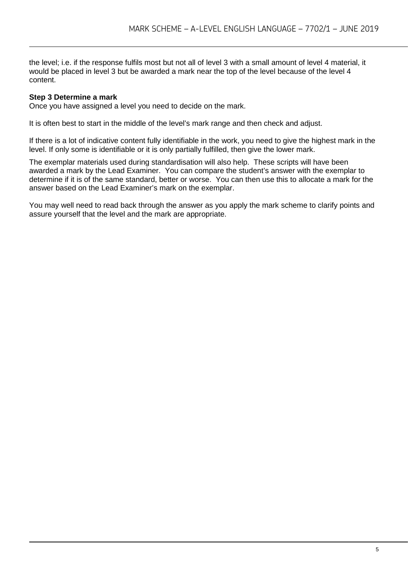the level; i.e. if the response fulfils most but not all of level 3 with a small amount of level 4 material, it would be placed in level 3 but be awarded a mark near the top of the level because of the level 4 content.

#### **Step 3 Determine a mark**

Once you have assigned a level you need to decide on the mark.

It is often best to start in the middle of the level's mark range and then check and adjust.

If there is a lot of indicative content fully identifiable in the work, you need to give the highest mark in the level. If only some is identifiable or it is only partially fulfilled, then give the lower mark.

The exemplar materials used during standardisation will also help. These scripts will have been awarded a mark by the Lead Examiner. You can compare the student's answer with the exemplar to determine if it is of the same standard, better or worse. You can then use this to allocate a mark for the answer based on the Lead Examiner's mark on the exemplar.

You may well need to read back through the answer as you apply the mark scheme to clarify points and assure yourself that the level and the mark are appropriate.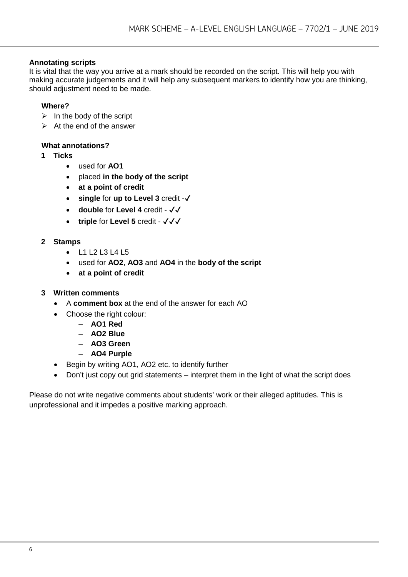#### **Annotating scripts**

It is vital that the way you arrive at a mark should be recorded on the script. This will help you with making accurate judgements and it will help any subsequent markers to identify how you are thinking, should adjustment need to be made.

#### **Where?**

- $\triangleright$  In the body of the script
- $\triangleright$  At the end of the answer

#### **What annotations?**

- **1 Ticks** 
	- used for **AO1**
	- placed **in the body of the script**
	- **at a point of credit**
	- **single** for **up to Level 3** credit -✔
	- **double** for **Level 4** credit ✔✔
	- **triple** for **Level 5** credit ✔✔✔

#### **2 Stamps**

- L1 L2 L3 L4 L5
- used for **AO2**, **AO3** and **AO4** in the **body of the script**
- **at a point of credit**

#### **3 Written comments**

- A **comment box** at the end of the answer for each AO
- Choose the right colour:
	- **AO1 Red**
	- **AO2 Blue**
	- **AO3 Green**
	- **AO4 Purple**
- Begin by writing AO1, AO2 etc. to identify further
- Don't just copy out grid statements interpret them in the light of what the script does

Please do not write negative comments about students' work or their alleged aptitudes. This is unprofessional and it impedes a positive marking approach.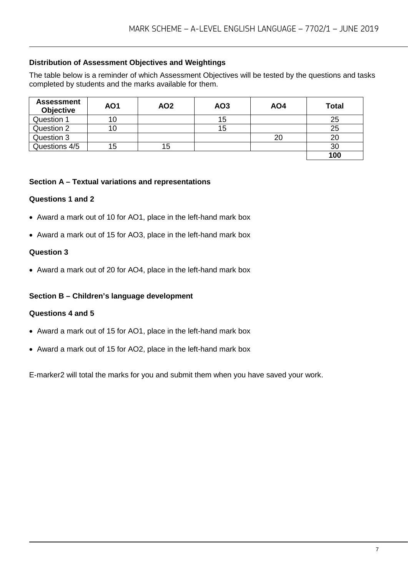#### **Distribution of Assessment Objectives and Weightings**

The table below is a reminder of which Assessment Objectives will be tested by the questions and tasks completed by students and the marks available for them.

| <b>Assessment</b><br><b>Objective</b> | AO <sub>1</sub> | AO <sub>2</sub> | AO <sub>3</sub> | AO4 | Total |
|---------------------------------------|-----------------|-----------------|-----------------|-----|-------|
| Question 1                            | 10              |                 | 15              |     | 25    |
| Question 2                            | 10              |                 | 15              |     | 25    |
| Question 3                            |                 |                 |                 | 20  | 20    |
| Questions 4/5                         | 15              | 15              |                 |     | 30    |
|                                       |                 |                 |                 |     | 100   |

#### **Section A – Textual variations and representations**

#### **Questions 1 and 2**

- Award a mark out of 10 for AO1, place in the left-hand mark box
- Award a mark out of 15 for AO3, place in the left-hand mark box

#### **Question 3**

• Award a mark out of 20 for AO4, place in the left-hand mark box

#### **Section B – Children's language development**

#### **Questions 4 and 5**

- Award a mark out of 15 for AO1, place in the left-hand mark box
- Award a mark out of 15 for AO2, place in the left-hand mark box

E-marker2 will total the marks for you and submit them when you have saved your work.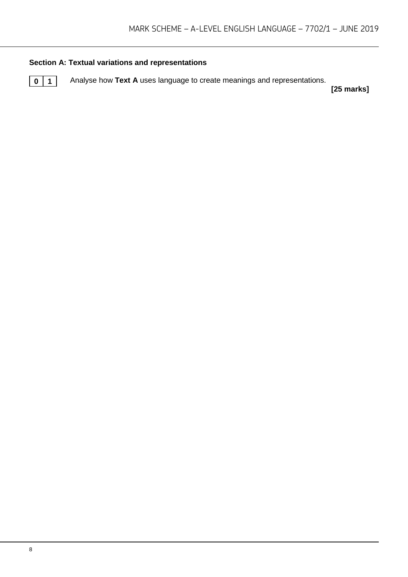#### **Section A: Textual variations and representations**

**0** 1 Analyse how Text A uses language to create meanings and representations.

**[25 marks]**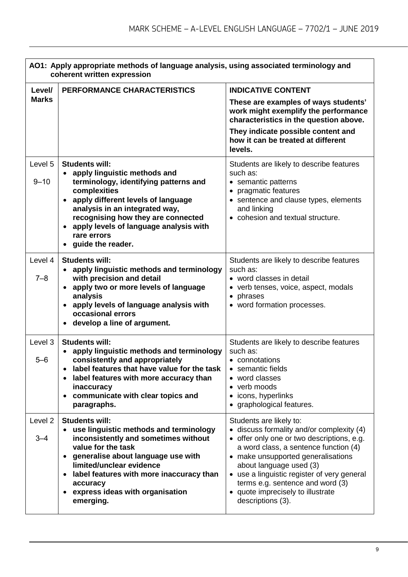|                     | AO1: Apply appropriate methods of language analysis, using associated terminology and<br>coherent written expression                                                                                                                                                                                                                           |                                                                                                                                                                                                                                                                                                                                                                           |  |
|---------------------|------------------------------------------------------------------------------------------------------------------------------------------------------------------------------------------------------------------------------------------------------------------------------------------------------------------------------------------------|---------------------------------------------------------------------------------------------------------------------------------------------------------------------------------------------------------------------------------------------------------------------------------------------------------------------------------------------------------------------------|--|
| Level/              | PERFORMANCE CHARACTERISTICS                                                                                                                                                                                                                                                                                                                    | <b>INDICATIVE CONTENT</b>                                                                                                                                                                                                                                                                                                                                                 |  |
| <b>Marks</b>        |                                                                                                                                                                                                                                                                                                                                                | These are examples of ways students'<br>work might exemplify the performance<br>characteristics in the question above.                                                                                                                                                                                                                                                    |  |
|                     |                                                                                                                                                                                                                                                                                                                                                | They indicate possible content and<br>how it can be treated at different<br>levels.                                                                                                                                                                                                                                                                                       |  |
| Level 5<br>$9 - 10$ | <b>Students will:</b><br>• apply linguistic methods and<br>terminology, identifying patterns and<br>complexities<br>apply different levels of language<br>$\bullet$<br>analysis in an integrated way,<br>recognising how they are connected<br>apply levels of language analysis with<br>rare errors<br>guide the reader.                      | Students are likely to describe features<br>such as:<br>• semantic patterns<br>• pragmatic features<br>• sentence and clause types, elements<br>and linking<br>• cohesion and textual structure.                                                                                                                                                                          |  |
| Level 4<br>$7 - 8$  | <b>Students will:</b><br>apply linguistic methods and terminology<br>$\bullet$<br>with precision and detail<br>apply two or more levels of language<br>$\bullet$<br>analysis<br>apply levels of language analysis with<br>occasional errors<br>develop a line of argument.                                                                     | Students are likely to describe features<br>such as:<br>• word classes in detail<br>• verb tenses, voice, aspect, modals<br>• phrases<br>• word formation processes.                                                                                                                                                                                                      |  |
| Level 3<br>$5 - 6$  | <b>Students will:</b><br>apply linguistic methods and terminology<br>consistently and appropriately<br>label features that have value for the task<br>label features with more accuracy than<br>inaccuracy<br>communicate with clear topics and<br>paragraphs.                                                                                 | Students are likely to describe features<br>such as:<br>• connotations<br>• semantic fields<br>• word classes<br>• verb moods<br>• icons, hyperlinks<br>• graphological features.                                                                                                                                                                                         |  |
| Level 2<br>$3 - 4$  | <b>Students will:</b><br>use linguistic methods and terminology<br>$\bullet$<br>inconsistently and sometimes without<br>value for the task<br>generalise about language use with<br>limited/unclear evidence<br>label features with more inaccuracy than<br>$\bullet$<br>accuracy<br>express ideas with organisation<br>$\bullet$<br>emerging. | Students are likely to:<br>• discuss formality and/or complexity (4)<br>• offer only one or two descriptions, e.g.<br>a word class, a sentence function (4)<br>• make unsupported generalisations<br>about language used (3)<br>• use a linguistic register of very general<br>terms e.g. sentence and word (3)<br>• quote imprecisely to illustrate<br>descriptions (3). |  |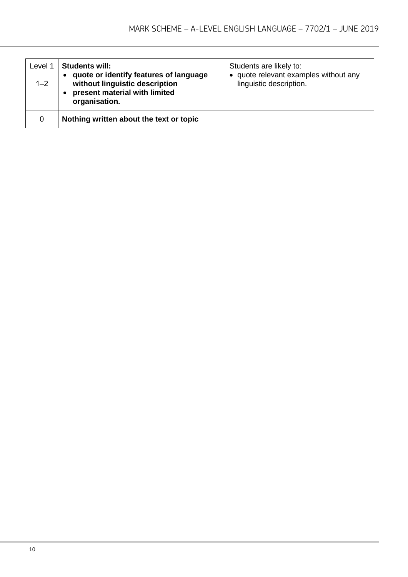| Level 1<br>$1 - 2$ | <b>Students will:</b><br>quote or identify features of language<br>without linguistic description<br>present material with limited<br>organisation. | Students are likely to:<br>• quote relevant examples without any<br>linguistic description. |
|--------------------|-----------------------------------------------------------------------------------------------------------------------------------------------------|---------------------------------------------------------------------------------------------|
| 0                  | Nothing written about the text or topic                                                                                                             |                                                                                             |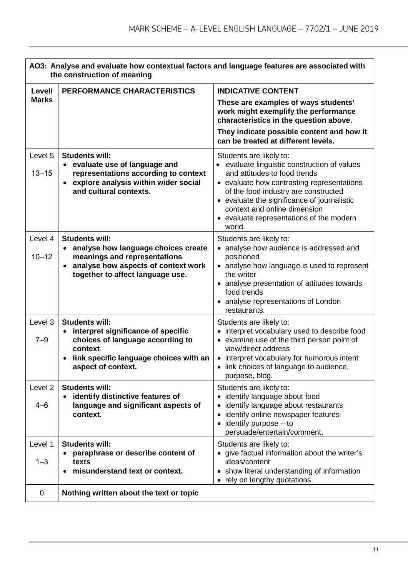|                               | AO3: Analyse and evaluate how contextual factors and language features are associated with<br>the construction of meaning                                           |                                                                                                                                                                                                                                                                                                                                    |  |
|-------------------------------|---------------------------------------------------------------------------------------------------------------------------------------------------------------------|------------------------------------------------------------------------------------------------------------------------------------------------------------------------------------------------------------------------------------------------------------------------------------------------------------------------------------|--|
| Level/                        | PERFORMANCE CHARACTERISTICS                                                                                                                                         | <b>INDICATIVE CONTENT</b>                                                                                                                                                                                                                                                                                                          |  |
| <b>Marks</b>                  |                                                                                                                                                                     | These are examples of ways students'<br>work might exemplify the performance<br>characteristics in the question above.                                                                                                                                                                                                             |  |
|                               |                                                                                                                                                                     | They indicate possible content and how it<br>can be treated at different levels.                                                                                                                                                                                                                                                   |  |
| Level 5<br>$13 - 15$          | <b>Students will:</b><br>• evaluate use of language and<br>representations according to context<br>• explore analysis within wider social<br>and cultural contexts. | Students are likely to:<br>• evaluate linguistic construction of values<br>and attitudes to food trends<br>• evaluate how contrasting representations<br>of the food industry are constructed<br>• evaluate the significance of journalistic<br>context and online dimension<br>• evaluate representations of the modern<br>world. |  |
| Level 4                       | <b>Students will:</b><br>analyse how language choices create<br>$\bullet$                                                                                           | Students are likely to:<br>• analyse how audience is addressed and                                                                                                                                                                                                                                                                 |  |
| $10 - 12$                     | meanings and representations<br>analyse how aspects of context work<br>$\bullet$<br>together to affect language use.                                                | positioned<br>• analyse how language is used to represent<br>the writer<br>• analyse presentation of attitudes towards<br>food trends<br>• analyse representations of London<br>restaurants.                                                                                                                                       |  |
| Level 3                       | <b>Students will:</b>                                                                                                                                               | Students are likely to:                                                                                                                                                                                                                                                                                                            |  |
| $7 - 9$                       | interpret significance of specific<br>choices of language according to<br>context<br>link specific language choices with an<br>aspect of context.                   | interpret vocabulary used to describe food<br>• examine use of the third person point of<br>view/direct address<br>• interpret vocabulary for humorous intent<br>link choices of language to audience,<br>purpose, blog.                                                                                                           |  |
| Level <sub>2</sub><br>$4 - 6$ | <b>Students will:</b><br>identify distinctive features of<br>language and significant aspects of<br>context.                                                        | Students are likely to:<br>identify language about food<br>identify language about restaurants<br>identify online newspaper features<br>$\bullet$ identify purpose $-$ to<br>persuade/entertain/comment.                                                                                                                           |  |
| Level 1<br>$1 - 3$            | <b>Students will:</b><br>paraphrase or describe content of<br>texts<br>misunderstand text or context.                                                               | Students are likely to:<br>• give factual information about the writer's<br>ideas/content<br>• show literal understanding of information<br>• rely on lengthy quotations.                                                                                                                                                          |  |
| $\mathbf 0$                   | Nothing written about the text or topic                                                                                                                             |                                                                                                                                                                                                                                                                                                                                    |  |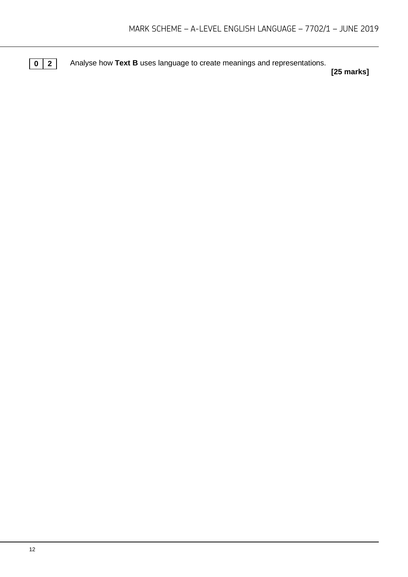**0** 2 Analyse how Text B uses language to create meanings and representations.

**[25 marks]**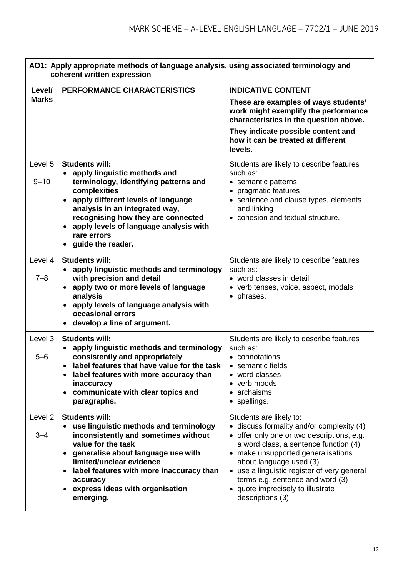|                        | AO1: Apply appropriate methods of language analysis, using associated terminology and<br>coherent written expression                                                                                                                                                                                                                           |                                                                                                                                                                                                                                                                                                                                                                           |  |
|------------------------|------------------------------------------------------------------------------------------------------------------------------------------------------------------------------------------------------------------------------------------------------------------------------------------------------------------------------------------------|---------------------------------------------------------------------------------------------------------------------------------------------------------------------------------------------------------------------------------------------------------------------------------------------------------------------------------------------------------------------------|--|
| Level/<br><b>Marks</b> | PERFORMANCE CHARACTERISTICS                                                                                                                                                                                                                                                                                                                    | <b>INDICATIVE CONTENT</b><br>These are examples of ways students'                                                                                                                                                                                                                                                                                                         |  |
|                        |                                                                                                                                                                                                                                                                                                                                                | work might exemplify the performance<br>characteristics in the question above.                                                                                                                                                                                                                                                                                            |  |
|                        |                                                                                                                                                                                                                                                                                                                                                | They indicate possible content and<br>how it can be treated at different<br>levels.                                                                                                                                                                                                                                                                                       |  |
| Level 5<br>$9 - 10$    | <b>Students will:</b><br>• apply linguistic methods and<br>terminology, identifying patterns and<br>complexities<br>apply different levels of language<br>$\bullet$<br>analysis in an integrated way,<br>recognising how they are connected<br>apply levels of language analysis with                                                          | Students are likely to describe features<br>such as:<br>• semantic patterns<br>• pragmatic features<br>• sentence and clause types, elements<br>and linking<br>• cohesion and textual structure.                                                                                                                                                                          |  |
|                        | rare errors<br>guide the reader.                                                                                                                                                                                                                                                                                                               |                                                                                                                                                                                                                                                                                                                                                                           |  |
| Level 4<br>$7 - 8$     | <b>Students will:</b><br>apply linguistic methods and terminology<br>$\bullet$<br>with precision and detail<br>apply two or more levels of language<br>$\bullet$<br>analysis<br>apply levels of language analysis with<br>$\bullet$<br>occasional errors<br>develop a line of argument.                                                        | Students are likely to describe features<br>such as:<br>• word classes in detail<br>• verb tenses, voice, aspect, modals<br>• phrases.                                                                                                                                                                                                                                    |  |
| Level 3<br>$5 - 6$     | <b>Students will:</b><br>apply linguistic methods and terminology<br>$\bullet$<br>consistently and appropriately<br>label features that have value for the task<br>label features with more accuracy than<br>inaccuracy<br>communicate with clear topics and<br>$\bullet$<br>paragraphs.                                                       | Students are likely to describe features<br>such as:<br>• connotations<br>• semantic fields<br>• word classes<br>• verb moods<br>• archaisms<br>• spellings.                                                                                                                                                                                                              |  |
| Level 2<br>$3 - 4$     | <b>Students will:</b><br>use linguistic methods and terminology<br>$\bullet$<br>inconsistently and sometimes without<br>value for the task<br>generalise about language use with<br>limited/unclear evidence<br>label features with more inaccuracy than<br>$\bullet$<br>accuracy<br>express ideas with organisation<br>$\bullet$<br>emerging. | Students are likely to:<br>• discuss formality and/or complexity (4)<br>• offer only one or two descriptions, e.g.<br>a word class, a sentence function (4)<br>• make unsupported generalisations<br>about language used (3)<br>• use a linguistic register of very general<br>terms e.g. sentence and word (3)<br>• quote imprecisely to illustrate<br>descriptions (3). |  |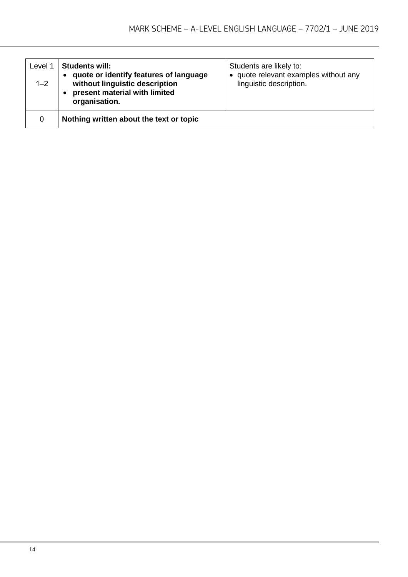| Level 1<br>$1 - 2$ | <b>Students will:</b><br>quote or identify features of language<br>without linguistic description<br>present material with limited<br>organisation. | Students are likely to:<br>• quote relevant examples without any<br>linguistic description. |
|--------------------|-----------------------------------------------------------------------------------------------------------------------------------------------------|---------------------------------------------------------------------------------------------|
| 0                  | Nothing written about the text or topic                                                                                                             |                                                                                             |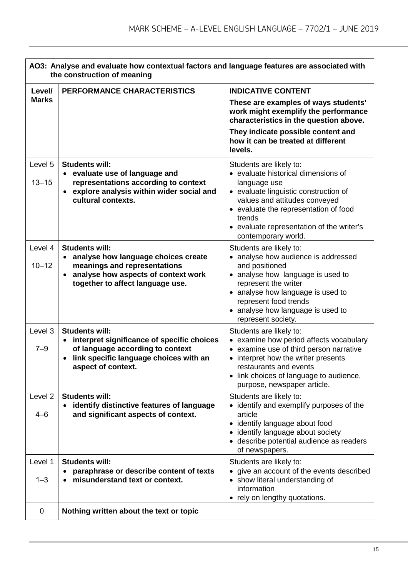| AO3: Analyse and evaluate how contextual factors and language features are associated with<br>the construction of meaning |                                                                                                                                                                                                   |                                                                                                                                                                                                                                                  |
|---------------------------------------------------------------------------------------------------------------------------|---------------------------------------------------------------------------------------------------------------------------------------------------------------------------------------------------|--------------------------------------------------------------------------------------------------------------------------------------------------------------------------------------------------------------------------------------------------|
| Level/                                                                                                                    | PERFORMANCE CHARACTERISTICS                                                                                                                                                                       | <b>INDICATIVE CONTENT</b>                                                                                                                                                                                                                        |
| <b>Marks</b>                                                                                                              |                                                                                                                                                                                                   | These are examples of ways students'<br>work might exemplify the performance<br>characteristics in the question above.<br>They indicate possible content and                                                                                     |
|                                                                                                                           |                                                                                                                                                                                                   | how it can be treated at different<br>levels.                                                                                                                                                                                                    |
| Level 5<br>$13 - 15$                                                                                                      | <b>Students will:</b><br>• evaluate use of language and<br>representations according to context                                                                                                   | Students are likely to:<br>• evaluate historical dimensions of<br>language use                                                                                                                                                                   |
|                                                                                                                           | explore analysis within wider social and<br>cultural contexts.                                                                                                                                    | • evaluate linguistic construction of<br>values and attitudes conveyed<br>• evaluate the representation of food<br>trends<br>• evaluate representation of the writer's<br>contemporary world.                                                    |
| Level 4<br>$10 - 12$                                                                                                      | <b>Students will:</b><br>analyse how language choices create<br>meanings and representations<br>analyse how aspects of context work<br>$\bullet$<br>together to affect language use.              | Students are likely to:<br>• analyse how audience is addressed<br>and positioned<br>• analyse how language is used to<br>represent the writer<br>• analyse how language is used to<br>represent food trends<br>• analyse how language is used to |
| Level 3<br>$7 - 9$                                                                                                        | <b>Students will:</b><br>interpret significance of specific choices<br>$\bullet$<br>of language according to context<br>link specific language choices with an<br>$\bullet$<br>aspect of context. | represent society.<br>Students are likely to:<br>• examine how period affects vocabulary<br>• examine use of third person narrative<br>• interpret how the writer presents<br>restaurants and events                                             |
|                                                                                                                           |                                                                                                                                                                                                   | • link choices of language to audience,<br>purpose, newspaper article.                                                                                                                                                                           |
| Level <sub>2</sub><br>4–6                                                                                                 | <b>Students will:</b><br>identify distinctive features of language<br>and significant aspects of context.                                                                                         | Students are likely to:<br>• identify and exemplify purposes of the<br>article<br>• identify language about food<br>• identify language about society<br>• describe potential audience as readers<br>of newspapers.                              |
| Level 1<br>$1 - 3$                                                                                                        | <b>Students will:</b><br>paraphrase or describe content of texts<br>misunderstand text or context.                                                                                                | Students are likely to:<br>• give an account of the events described<br>• show literal understanding of<br>information<br>• rely on lengthy quotations.                                                                                          |
| 0                                                                                                                         | Nothing written about the text or topic                                                                                                                                                           |                                                                                                                                                                                                                                                  |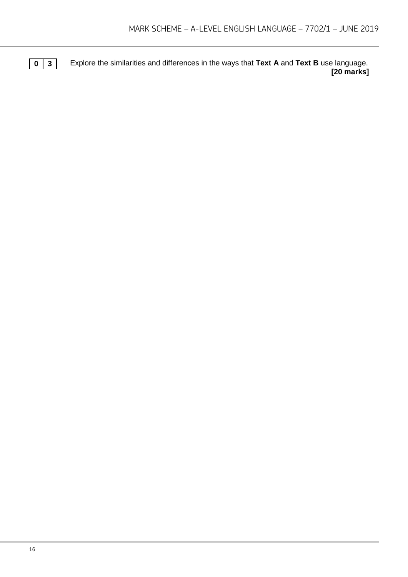**0 3** Explore the similarities and differences in the ways that **Text A** and **Text B** use language. **[20 marks]**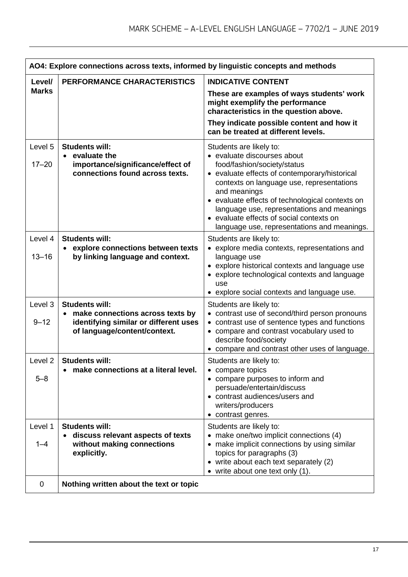|                      | AO4: Explore connections across texts, informed by linguistic concepts and methods                              |                                                                                                                                                                                                                      |  |
|----------------------|-----------------------------------------------------------------------------------------------------------------|----------------------------------------------------------------------------------------------------------------------------------------------------------------------------------------------------------------------|--|
| Level/               | <b>PERFORMANCE CHARACTERISTICS</b>                                                                              | <b>INDICATIVE CONTENT</b>                                                                                                                                                                                            |  |
| <b>Marks</b>         |                                                                                                                 | These are examples of ways students' work<br>might exemplify the performance<br>characteristics in the question above.                                                                                               |  |
|                      |                                                                                                                 | They indicate possible content and how it<br>can be treated at different levels.                                                                                                                                     |  |
| Level 5<br>$17 - 20$ | <b>Students will:</b><br>• evaluate the<br>importance/significance/effect of<br>connections found across texts. | Students are likely to:<br>• evaluate discourses about<br>food/fashion/society/status<br>• evaluate effects of contemporary/historical<br>contexts on language use, representations<br>and meanings                  |  |
|                      |                                                                                                                 | • evaluate effects of technological contexts on<br>language use, representations and meanings<br>• evaluate effects of social contexts on<br>language use, representations and meanings.                             |  |
| Level 4              | <b>Students will:</b><br>explore connections between texts<br>$\bullet$                                         | Students are likely to:<br>• explore media contexts, representations and                                                                                                                                             |  |
| $13 - 16$            | by linking language and context.                                                                                | language use<br>• explore historical contexts and language use<br>• explore technological contexts and language<br>use                                                                                               |  |
| Level 3              | <b>Students will:</b>                                                                                           | • explore social contexts and language use.<br>Students are likely to:                                                                                                                                               |  |
| $9 - 12$             | make connections across texts by<br>identifying similar or different uses<br>of language/content/context.       | contrast use of second/third person pronouns<br>contrast use of sentence types and functions<br>• compare and contrast vocabulary used to<br>describe food/society<br>• compare and contrast other uses of language. |  |
| Level 2              | <b>Students will:</b>                                                                                           | Students are likely to:                                                                                                                                                                                              |  |
| $5 - 8$              | make connections at a literal level.                                                                            | • compare topics<br>• compare purposes to inform and<br>persuade/entertain/discuss<br>• contrast audiences/users and<br>writers/producers<br>• contrast genres.                                                      |  |
| Level 1              | <b>Students will:</b>                                                                                           | Students are likely to:                                                                                                                                                                                              |  |
| $1 - 4$              | discuss relevant aspects of texts<br>without making connections<br>explicitly.                                  | • make one/two implicit connections (4)<br>make implicit connections by using similar<br>$\bullet$<br>topics for paragraphs (3)<br>• write about each text separately (2)<br>• write about one text only (1).        |  |
| 0                    | Nothing written about the text or topic                                                                         |                                                                                                                                                                                                                      |  |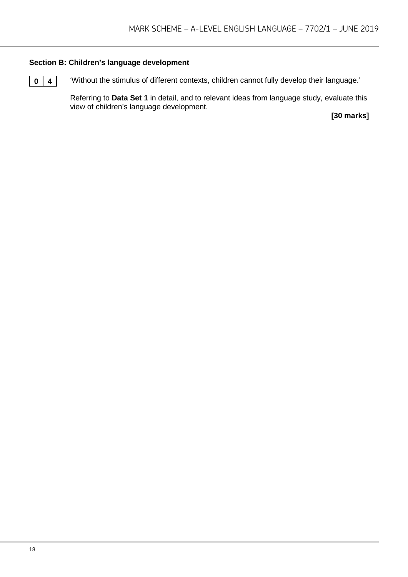#### **Section B: Children's language development**

**0 4** 'Without the stimulus of different contexts, children cannot fully develop their language.'

Referring to **Data Set 1** in detail, and to relevant ideas from language study, evaluate this view of children's language development.

**[30 marks]**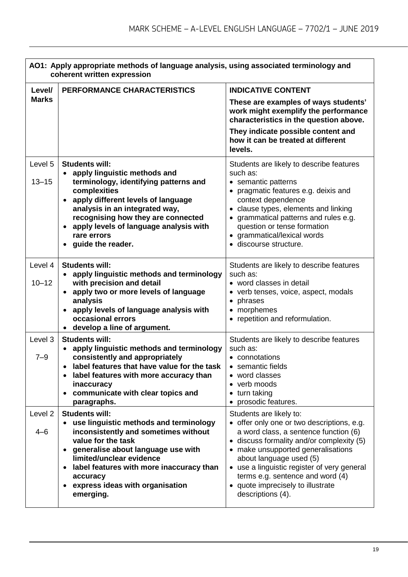|                               | AO1: Apply appropriate methods of language analysis, using associated terminology and<br>coherent written expression                                                                                                                                                                                                                 |                                                                                                                                                                                                                                                                                                                                                                           |  |
|-------------------------------|--------------------------------------------------------------------------------------------------------------------------------------------------------------------------------------------------------------------------------------------------------------------------------------------------------------------------------------|---------------------------------------------------------------------------------------------------------------------------------------------------------------------------------------------------------------------------------------------------------------------------------------------------------------------------------------------------------------------------|--|
| Level/                        | PERFORMANCE CHARACTERISTICS                                                                                                                                                                                                                                                                                                          | <b>INDICATIVE CONTENT</b>                                                                                                                                                                                                                                                                                                                                                 |  |
| <b>Marks</b>                  |                                                                                                                                                                                                                                                                                                                                      | These are examples of ways students'<br>work might exemplify the performance<br>characteristics in the question above.                                                                                                                                                                                                                                                    |  |
|                               |                                                                                                                                                                                                                                                                                                                                      | They indicate possible content and<br>how it can be treated at different<br>levels.                                                                                                                                                                                                                                                                                       |  |
| Level 5<br>$13 - 15$          | <b>Students will:</b><br>apply linguistic methods and<br>$\bullet$<br>terminology, identifying patterns and<br>complexities<br>apply different levels of language<br>$\bullet$<br>analysis in an integrated way,<br>recognising how they are connected<br>apply levels of language analysis with<br>rare errors<br>guide the reader. | Students are likely to describe features<br>such as:<br>• semantic patterns<br>• pragmatic features e.g. deixis and<br>context dependence<br>• clause types, elements and linking<br>• grammatical patterns and rules e.g.<br>question or tense formation<br>• grammatical/lexical words<br>· discourse structure.                                                        |  |
| Level 4<br>$10 - 12$          | <b>Students will:</b><br>apply linguistic methods and terminology<br>$\bullet$<br>with precision and detail<br>apply two or more levels of language<br>$\bullet$<br>analysis<br>apply levels of language analysis with<br>occasional errors<br>develop a line of argument.                                                           | Students are likely to describe features<br>such as:<br>• word classes in detail<br>• verb tenses, voice, aspect, modals<br>• phrases<br>• morphemes<br>• repetition and reformulation.                                                                                                                                                                                   |  |
| Level 3<br>$7 - 9$            | <b>Students will:</b><br>apply linguistic methods and terminology<br>$\bullet$<br>consistently and appropriately<br>label features that have value for the task<br>label features with more accuracy than<br>inaccuracy<br>communicate with clear topics and<br>$\bullet$<br>paragraphs.                                             | Students are likely to describe features<br>such as:<br>• connotations<br>semantic fields<br>• word classes<br>• verb moods<br>• turn taking<br>• prosodic features.                                                                                                                                                                                                      |  |
| Level <sub>2</sub><br>$4 - 6$ | <b>Students will:</b><br>use linguistic methods and terminology<br>inconsistently and sometimes without<br>value for the task<br>generalise about language use with<br>limited/unclear evidence<br>label features with more inaccuracy than<br>$\bullet$<br>accuracy<br>express ideas with organisation<br>emerging.                 | Students are likely to:<br>• offer only one or two descriptions, e.g.<br>a word class, a sentence function (6)<br>• discuss formality and/or complexity (5)<br>• make unsupported generalisations<br>about language used (5)<br>• use a linguistic register of very general<br>terms e.g. sentence and word (4)<br>• quote imprecisely to illustrate<br>descriptions (4). |  |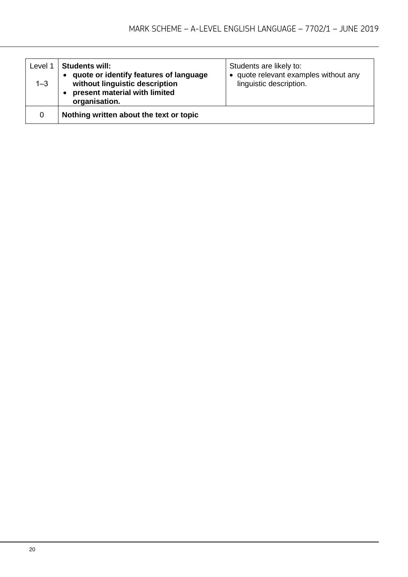| Level 1<br>$1 - 3$ | <b>Students will:</b><br>quote or identify features of language<br>without linguistic description<br>present material with limited<br>organisation. | Students are likely to:<br>• quote relevant examples without any<br>linguistic description. |
|--------------------|-----------------------------------------------------------------------------------------------------------------------------------------------------|---------------------------------------------------------------------------------------------|
| 0                  | Nothing written about the text or topic                                                                                                             |                                                                                             |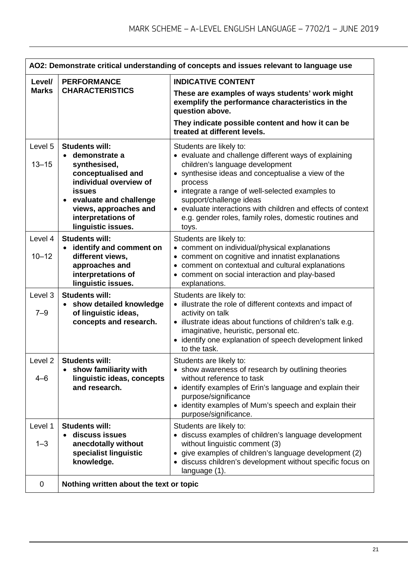| AO2: Demonstrate critical understanding of concepts and issues relevant to language use |                                                                                                                                                                                                                                     |                                                                                                                                                                                                                                                                                                                                                                                                        |  |
|-----------------------------------------------------------------------------------------|-------------------------------------------------------------------------------------------------------------------------------------------------------------------------------------------------------------------------------------|--------------------------------------------------------------------------------------------------------------------------------------------------------------------------------------------------------------------------------------------------------------------------------------------------------------------------------------------------------------------------------------------------------|--|
| Level/                                                                                  | <b>PERFORMANCE</b>                                                                                                                                                                                                                  | <b>INDICATIVE CONTENT</b>                                                                                                                                                                                                                                                                                                                                                                              |  |
| <b>Marks</b>                                                                            | <b>CHARACTERISTICS</b>                                                                                                                                                                                                              | These are examples of ways students' work might<br>exemplify the performance characteristics in the<br>question above.<br>They indicate possible content and how it can be<br>treated at different levels.                                                                                                                                                                                             |  |
| Level 5<br>$13 - 15$                                                                    | <b>Students will:</b><br>demonstrate a<br>$\bullet$<br>synthesised,<br>conceptualised and<br>individual overview of<br><b>issues</b><br>evaluate and challenge<br>views, approaches and<br>interpretations of<br>linguistic issues. | Students are likely to:<br>• evaluate and challenge different ways of explaining<br>children's language development<br>• synthesise ideas and conceptualise a view of the<br>process<br>• integrate a range of well-selected examples to<br>support/challenge ideas<br>• evaluate interactions with children and effects of context<br>e.g. gender roles, family roles, domestic routines and<br>toys. |  |
| Level 4<br>$10 - 12$                                                                    | <b>Students will:</b><br>identify and comment on<br>$\bullet$<br>different views,<br>approaches and<br>interpretations of<br>linguistic issues.                                                                                     | Students are likely to:<br>• comment on individual/physical explanations<br>• comment on cognitive and innatist explanations<br>• comment on contextual and cultural explanations<br>• comment on social interaction and play-based<br>explanations.                                                                                                                                                   |  |
| Level 3<br>$7 - 9$                                                                      | <b>Students will:</b><br>show detailed knowledge<br>$\bullet$<br>of linguistic ideas,<br>concepts and research.                                                                                                                     | Students are likely to:<br>• illustrate the role of different contexts and impact of<br>activity on talk<br>· illustrate ideas about functions of children's talk e.g.<br>imaginative, heuristic, personal etc.<br>• identify one explanation of speech development linked<br>to the task.                                                                                                             |  |
| Level <sub>2</sub><br>4–6                                                               | <b>Students will:</b><br>show familiarity with<br>linguistic ideas, concepts<br>and research.                                                                                                                                       | Students are likely to:<br>• show awareness of research by outlining theories<br>without reference to task<br>• identify examples of Erin's language and explain their<br>purpose/significance<br>• identity examples of Mum's speech and explain their<br>purpose/significance.                                                                                                                       |  |
| Level 1<br>$1 - 3$<br>0                                                                 | <b>Students will:</b><br>discuss issues<br>$\bullet$<br>anecdotally without<br>specialist linguistic<br>knowledge.<br>Nothing written about the text or topic                                                                       | Students are likely to:<br>· discuss examples of children's language development<br>without linguistic comment (3)<br>• give examples of children's language development (2)<br>· discuss children's development without specific focus on<br>language (1).                                                                                                                                            |  |
|                                                                                         |                                                                                                                                                                                                                                     |                                                                                                                                                                                                                                                                                                                                                                                                        |  |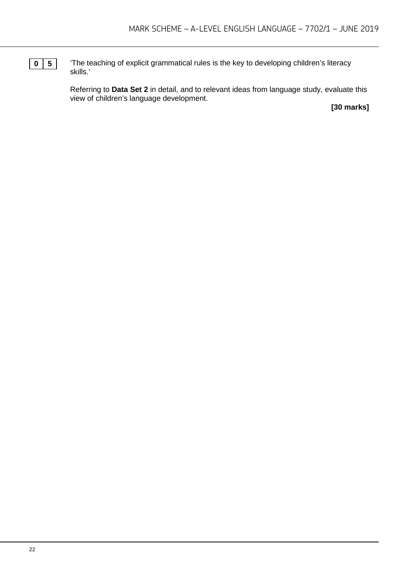**0 5** The teaching of explicit grammatical rules is the key to developing children's literacy skills.'

> Referring to **Data Set 2** in detail, and to relevant ideas from language study, evaluate this view of children's language development.

**[30 marks]**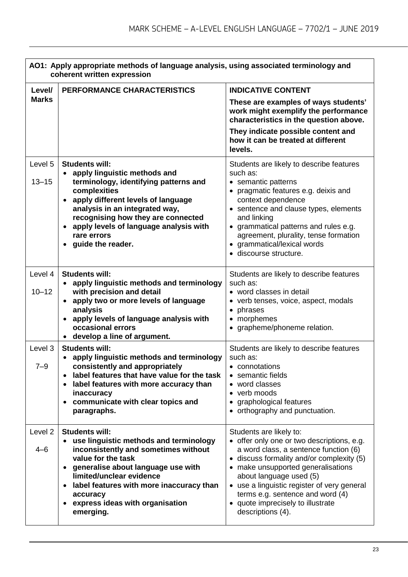|                           | AO1: Apply appropriate methods of language analysis, using associated terminology and<br>coherent written expression                                                                                                                                                                                                      |                                                                                                                                                                                                                                                                                                                                                                           |  |
|---------------------------|---------------------------------------------------------------------------------------------------------------------------------------------------------------------------------------------------------------------------------------------------------------------------------------------------------------------------|---------------------------------------------------------------------------------------------------------------------------------------------------------------------------------------------------------------------------------------------------------------------------------------------------------------------------------------------------------------------------|--|
| Level/                    | PERFORMANCE CHARACTERISTICS                                                                                                                                                                                                                                                                                               | <b>INDICATIVE CONTENT</b>                                                                                                                                                                                                                                                                                                                                                 |  |
| <b>Marks</b>              |                                                                                                                                                                                                                                                                                                                           | These are examples of ways students'<br>work might exemplify the performance<br>characteristics in the question above.<br>They indicate possible content and<br>how it can be treated at different<br>levels.                                                                                                                                                             |  |
| Level 5<br>$13 - 15$      | <b>Students will:</b><br>• apply linguistic methods and<br>terminology, identifying patterns and<br>complexities<br>apply different levels of language<br>$\bullet$<br>analysis in an integrated way,<br>recognising how they are connected<br>apply levels of language analysis with<br>rare errors<br>guide the reader. | Students are likely to describe features<br>such as:<br>• semantic patterns<br>• pragmatic features e.g. deixis and<br>context dependence<br>• sentence and clause types, elements<br>and linking<br>• grammatical patterns and rules e.g.<br>agreement, plurality, tense formation<br>• grammatical/lexical words<br>· discourse structure.                              |  |
| Level 4<br>$10 - 12$      | <b>Students will:</b><br>apply linguistic methods and terminology<br>$\bullet$<br>with precision and detail<br>• apply two or more levels of language<br>analysis<br>apply levels of language analysis with<br>occasional errors<br>develop a line of argument.                                                           | Students are likely to describe features<br>such as:<br>• word classes in detail<br>• verb tenses, voice, aspect, modals<br>• phrases<br>• morphemes<br>• grapheme/phoneme relation.                                                                                                                                                                                      |  |
| Level 3<br>$7 - 9$        | <b>Students will:</b><br>• apply linguistic methods and terminology<br>consistently and appropriately<br>label features that have value for the task<br>label features with more accuracy than<br>inaccuracy<br>communicate with clear topics and<br>paragraphs.                                                          | Students are likely to describe features<br>such as:<br>connotations<br>• semantic fields<br>• word classes<br>• verb moods<br>• graphological features<br>• orthography and punctuation.                                                                                                                                                                                 |  |
| Level <sub>2</sub><br>4–6 | <b>Students will:</b><br>• use linguistic methods and terminology<br>inconsistently and sometimes without<br>value for the task<br>generalise about language use with<br>$\bullet$<br>limited/unclear evidence<br>label features with more inaccuracy than<br>accuracy<br>express ideas with organisation<br>emerging.    | Students are likely to:<br>• offer only one or two descriptions, e.g.<br>a word class, a sentence function (6)<br>• discuss formality and/or complexity (5)<br>• make unsupported generalisations<br>about language used (5)<br>• use a linguistic register of very general<br>terms e.g. sentence and word (4)<br>• quote imprecisely to illustrate<br>descriptions (4). |  |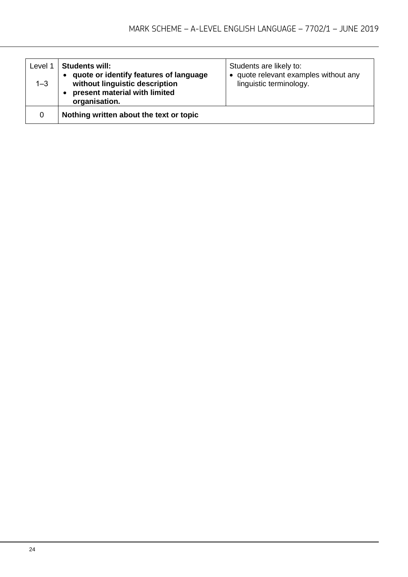| Level 1<br>$1 - 3$ | <b>Students will:</b><br>quote or identify features of language<br>without linguistic description<br>present material with limited<br>organisation. | Students are likely to:<br>• quote relevant examples without any<br>linguistic terminology. |
|--------------------|-----------------------------------------------------------------------------------------------------------------------------------------------------|---------------------------------------------------------------------------------------------|
| 0                  | Nothing written about the text or topic                                                                                                             |                                                                                             |